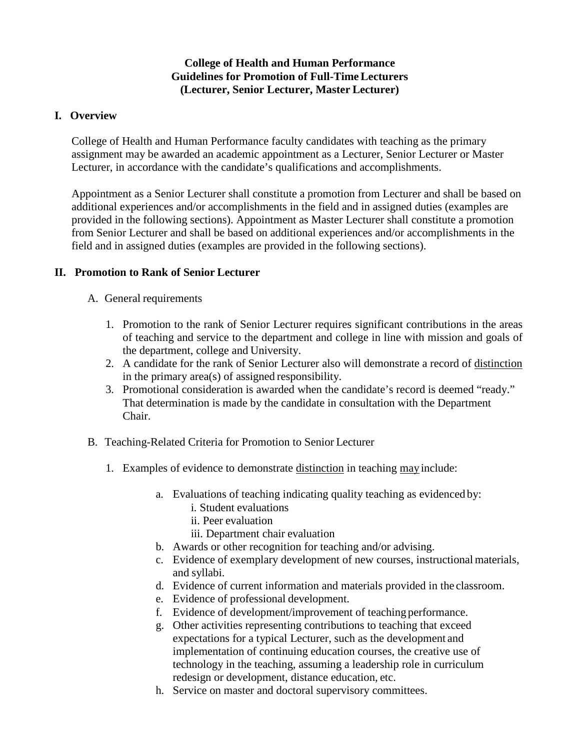# **College of Health and Human Performance Guidelines for Promotion of Full-TimeLecturers (Lecturer, Senior Lecturer, Master Lecturer)**

## **I. Overview**

College of Health and Human Performance faculty candidates with teaching as the primary assignment may be awarded an academic appointment as a Lecturer, Senior Lecturer or Master Lecturer, in accordance with the candidate's qualifications and accomplishments.

Appointment as a Senior Lecturer shall constitute a promotion from Lecturer and shall be based on additional experiences and/or accomplishments in the field and in assigned duties (examples are provided in the following sections). Appointment as Master Lecturer shall constitute a promotion from Senior Lecturer and shall be based on additional experiences and/or accomplishments in the field and in assigned duties (examples are provided in the following sections).

## **II. Promotion to Rank of Senior Lecturer**

### A. General requirements

- 1. Promotion to the rank of Senior Lecturer requires significant contributions in the areas of teaching and service to the department and college in line with mission and goals of the department, college and University.
- 2. A candidate for the rank of Senior Lecturer also will demonstrate a record of distinction in the primary area(s) of assigned responsibility.
- 3. Promotional consideration is awarded when the candidate's record is deemed "ready." That determination is made by the candidate in consultation with the Department Chair.
- B. Teaching-Related Criteria for Promotion to Senior Lecturer
	- 1. Examples of evidence to demonstrate distinction in teaching may include:
		- a. Evaluations of teaching indicating quality teaching as evidenced by:
			- i. Student evaluations
			- ii. Peer evaluation
			- iii. Department chair evaluation
		- b. Awards or other recognition for teaching and/or advising.
		- c. Evidence of exemplary development of new courses, instructionalmaterials, and syllabi.
		- d. Evidence of current information and materials provided in the classroom.
		- e. Evidence of professional development.
		- f. Evidence of development/improvement of teaching performance.
		- g. Other activities representing contributions to teaching that exceed expectations for a typical Lecturer, such as the development and implementation of continuing education courses, the creative use of technology in the teaching, assuming a leadership role in curriculum redesign or development, distance education, etc.
		- h. Service on master and doctoral supervisory committees.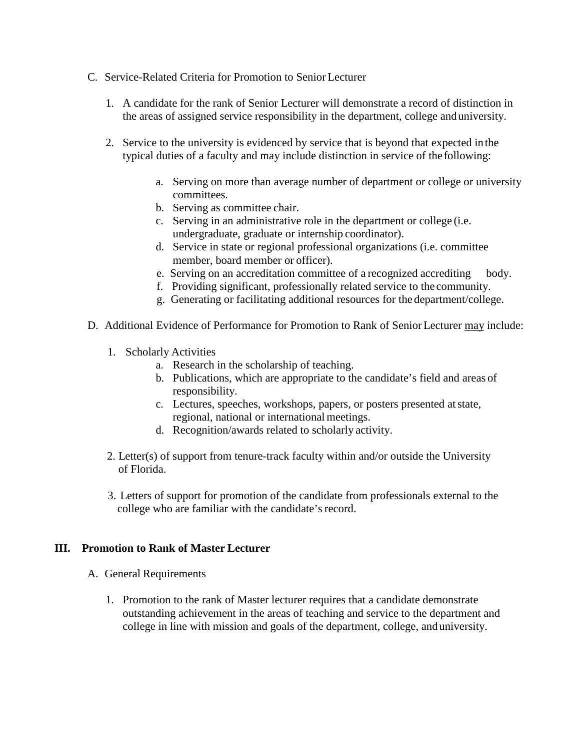- C. Service-Related Criteria for Promotion to Senior Lecturer
	- 1. A candidate for the rank of Senior Lecturer will demonstrate a record of distinction in the areas of assigned service responsibility in the department, college anduniversity.
	- 2. Service to the university is evidenced by service that is beyond that expected inthe typical duties of a faculty and may include distinction in service of the following:
		- a. Serving on more than average number of department or college or university committees.
		- b. Serving as committee chair.
		- c. Serving in an administrative role in the department or college (i.e. undergraduate, graduate or internship coordinator).
		- d. Service in state or regional professional organizations (i.e. committee member, board member or officer).
		- e. Serving on an accreditation committee of a recognized accrediting body.
		- f. Providing significant, professionally related service to the community.
		- g. Generating or facilitating additional resources for the department/college.
- D. Additional Evidence of Performance for Promotion to Rank of SeniorLecturer may include:
	- 1. Scholarly Activities
		- a. Research in the scholarship of teaching.
		- b. Publications, which are appropriate to the candidate's field and areas of responsibility.
		- c. Lectures, speeches, workshops, papers, or posters presented atstate, regional, national or international meetings.
		- d. Recognition/awards related to scholarly activity.
	- 2. Letter(s) of support from tenure-track faculty within and/or outside the University of Florida.
	- 3. Letters of support for promotion of the candidate from professionals external to the college who are familiar with the candidate's record.

### **III. Promotion to Rank of Master Lecturer**

- A. General Requirements
	- 1. Promotion to the rank of Master lecturer requires that a candidate demonstrate outstanding achievement in the areas of teaching and service to the department and college in line with mission and goals of the department, college, anduniversity.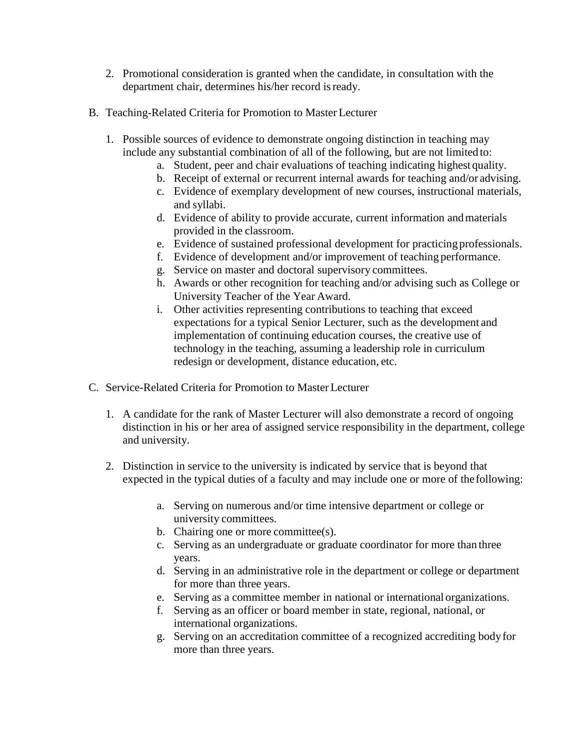- 2. Promotional consideration is granted when the candidate, in consultation with the department chair, determines his/her record isready.
- B. Teaching-Related Criteria for Promotion to Master Lecturer
	- 1. Possible sources of evidence to demonstrate ongoing distinction in teaching may include any substantial combination of all of the following, but are not limited to:
		- a. Student, peer and chair evaluations of teaching indicating highest quality.
		- b. Receipt of external or recurrent internal awards for teaching and/or advising.
		- c. Evidence of exemplary development of new courses, instructional materials, and syllabi.
		- d. Evidence of ability to provide accurate, current information andmaterials provided in the classroom.
		- e. Evidence of sustained professional development for practicing professionals.
		- f. Evidence of development and/or improvement of teaching performance.
		- g. Service on master and doctoral supervisory committees.
		- h. Awards or other recognition for teaching and/or advising such as College or University Teacher of the Year Award.
		- i. Other activities representing contributions to teaching that exceed expectations for a typical Senior Lecturer, such as the development and implementation of continuing education courses, the creative use of technology in the teaching, assuming a leadership role in curriculum redesign or development, distance education, etc.
- C. Service-Related Criteria for Promotion to Master Lecturer
	- 1. A candidate for the rank of Master Lecturer will also demonstrate a record of ongoing distinction in his or her area of assigned service responsibility in the department, college and university.
	- 2. Distinction in service to the university is indicated by service that is beyond that expected in the typical duties of a faculty and may include one or more of thefollowing:
		- a. Serving on numerous and/or time intensive department or college or university committees.
		- b. Chairing one or more committee(s).
		- c. Serving as an undergraduate or graduate coordinator for more than three years.
		- d. Serving in an administrative role in the department or college or department for more than three years.
		- e. Serving as a committee member in national or international organizations.
		- f. Serving as an officer or board member in state, regional, national, or international organizations.
		- g. Serving on an accreditation committee of a recognized accrediting bodyfor more than three years.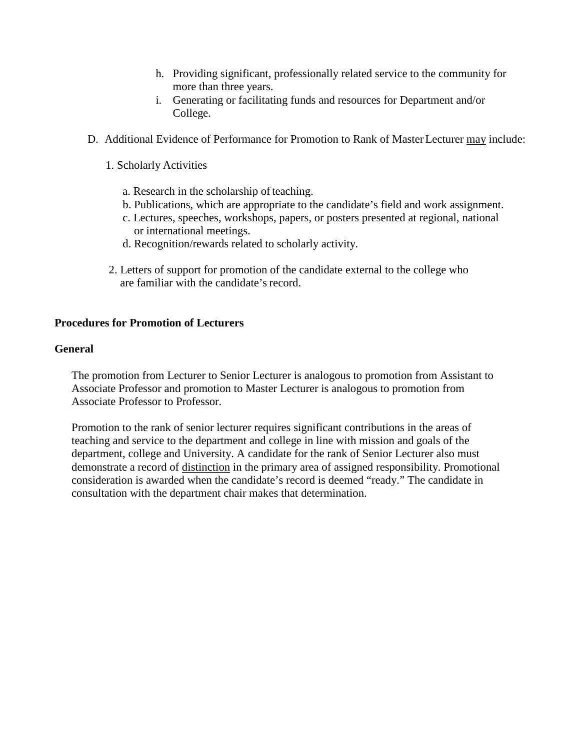- h. Providing significant, professionally related service to the community for more than three years.
- i. Generating or facilitating funds and resources for Department and/or College.
- D. Additional Evidence of Performance for Promotion to Rank of Master Lecturer may include:
	- 1. Scholarly Activities
		- a. Research in the scholarship of teaching.
		- b. Publications, which are appropriate to the candidate's field and work assignment.
		- c. Lectures, speeches, workshops, papers, or posters presented at regional, national or international meetings.
		- d. Recognition/rewards related to scholarly activity.
	- 2. Letters of support for promotion of the candidate external to the college who are familiar with the candidate's record.

## **Procedures for Promotion of Lecturers**

### **General**

The promotion from Lecturer to Senior Lecturer is analogous to promotion from Assistant to Associate Professor and promotion to Master Lecturer is analogous to promotion from Associate Professor to Professor.

Promotion to the rank of senior lecturer requires significant contributions in the areas of teaching and service to the department and college in line with mission and goals of the department, college and University. A candidate for the rank of Senior Lecturer also must demonstrate a record of distinction in the primary area of assigned responsibility. Promotional consideration is awarded when the candidate's record is deemed "ready." The candidate in consultation with the department chair makes that determination.